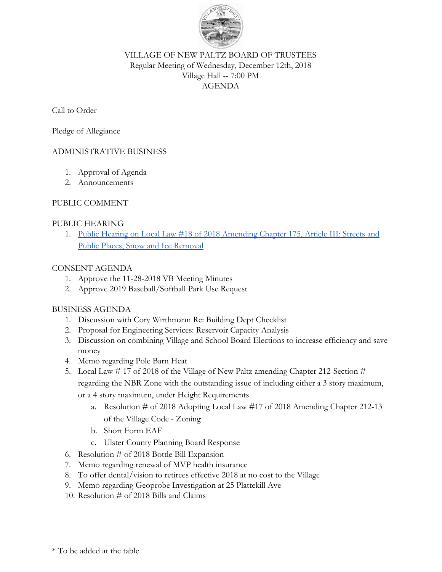

### VILLAGE OF NEW PALTZ BOARD OF TRUSTEES Regular Meeting of Wednesday, December 12th, 2018 Village Hall -- 7:00 PM AGENDA

#### Call to Order

Pledge of Allegiance

## ADMINISTRATIVE BUSINESS

- 1. Approval of Agenda
- 2. Announcements

## PUBLIC COMMENT

#### PUBLIC HEARING

1. [Public Hearing on Local Law #18 of 2018 Amending Chapter 175, Article III: Streets and](https://drive.google.com/open?id=1u4OZVqsPWRWKt0yko7w5m6QbjZtjO9JDPl9GRGHVy5k) [Public Places, Snow and Ice Removal](https://drive.google.com/open?id=1u4OZVqsPWRWKt0yko7w5m6QbjZtjO9JDPl9GRGHVy5k)

## CONSENT AGENDA

- 1. Approve the 11-28-2018 VB Meeting Minutes
- 2. Approve 2019 Baseball/Softball Park Use Request

## BUSINESS AGENDA

- 1. Discussion with Cory Wirthmann Re: Building Dept Checklist
- 2. Proposal for Engineering Services: Reservoir Capacity Analysis
- 3. Discussion on combining Village and School Board Elections to increase efficiency and save money
- 4. Memo regarding Pole Barn Heat
- 5. Local Law # 17 of 2018 of the Village of New Paltz amending Chapter 212-Section # regarding the NBR Zone with the outstanding issue of including either a 3 story maximum, or a 4 story maximum, under Height Requirements
	- a. Resolution # of 2018 Adopting Local Law #17 of 2018 Amending Chapter 212-13 of the Village Code - Zoning
	- b. Short Form EAF
	- c. Ulster County Planning Board Response
- 6. Resolution # of 2018 Bottle Bill Expansion
- 7. Memo regarding renewal of MVP health insurance
- 8. To offer dental/vision to retirees effective 2018 at no cost to the Village
- 9. Memo regarding Geoprobe Investigation at 25 Plattekill Ave
- 10. Resolution # of 2018 Bills and Claims